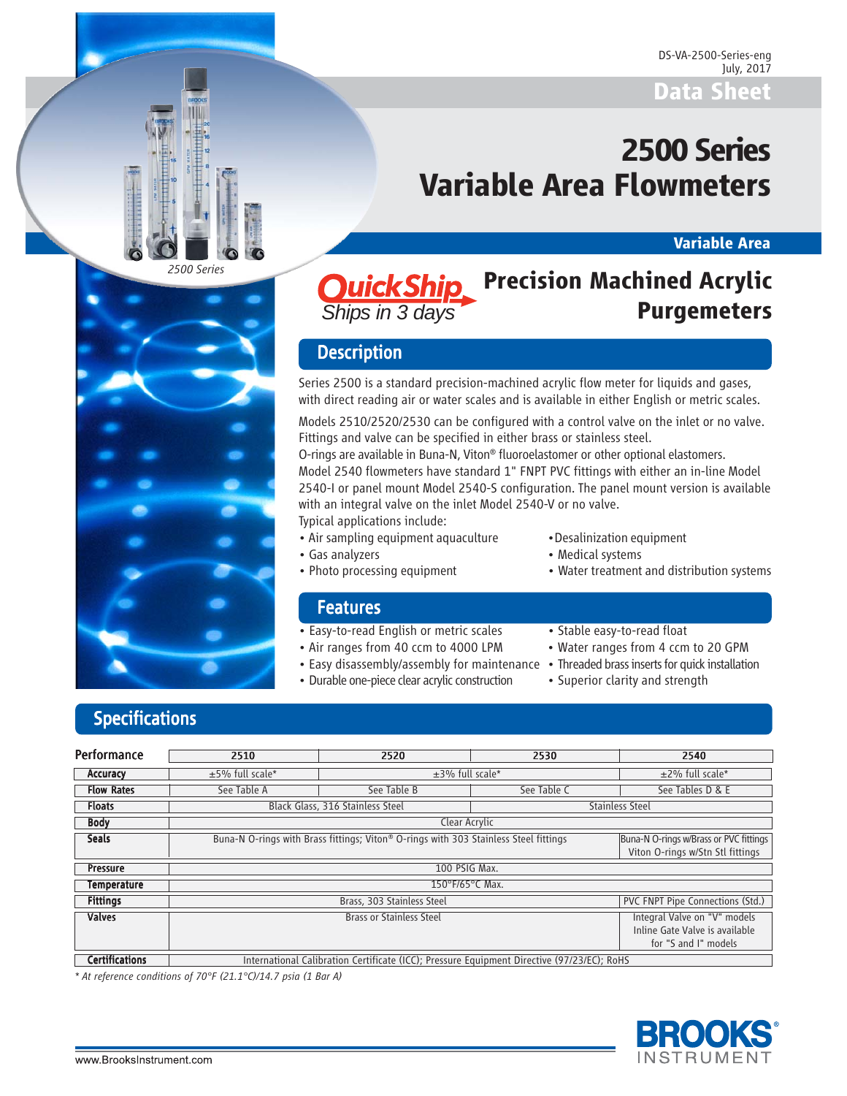# **2500 Series Variable Area Flowmeters**

### **Variable Area**



### **Quick Ship** Precision Machined Acrylic **Purgemeters** *Ships in 3 days*

## **Description**

Series 2500 is a standard precision-machined acrylic flow meter for liquids and gases, with direct reading air or water scales and is available in either English or metric scales.

Models 2510/2520/2530 can be configured with a control valve on the inlet or no valve. Fittings and valve can be specified in either brass or stainless steel.

O-rings are available in Buna-N, Viton® fluoroelastomer or other optional elastomers. Model 2540 flowmeters have standard 1" FNPT PVC fittings with either an in-line Model 2540-I or panel mount Model 2540-S configuration. The panel mount version is available with an integral valve on the inlet Model 2540-V or no valve.

Typical applications include:

- Air sampling equipment aquaculture Desalinization equipment
- 
- Gas analyzers  **Medical systems**
- Photo processing equipment Water treatment and distribution systems

### **Features**

- Easy-to-read English or metric scales Stable easy-to-read float
- Air ranges from 40 ccm to 4000 LPM Water ranges from 4 ccm to 20 GPM
- Easy disassembly/assembly for maintenance Threaded brass inserts for quick installation
- Durable one-piece clear acrylic construction Superior clarity and strength
- 
- 
- -

## **Specifications**

| <b>Performance</b>    | 2510                                                                                       | 2520                                                                                                                                                               | 2530                            | 2540                                                                                   |  |
|-----------------------|--------------------------------------------------------------------------------------------|--------------------------------------------------------------------------------------------------------------------------------------------------------------------|---------------------------------|----------------------------------------------------------------------------------------|--|
| Accuracy              | $±5%$ full scale*                                                                          | $\pm$ 3% full scale*                                                                                                                                               | $±2\%$ full scale*              |                                                                                        |  |
| <b>Flow Rates</b>     | See Table A                                                                                | See Table B                                                                                                                                                        | See Table C<br>See Tables D & E |                                                                                        |  |
| <b>Floats</b>         |                                                                                            | Black Glass, 316 Stainless Steel                                                                                                                                   |                                 | <b>Stainless Steel</b>                                                                 |  |
| <b>Body</b>           |                                                                                            | Clear Acrylic                                                                                                                                                      |                                 |                                                                                        |  |
| <b>Seals</b>          |                                                                                            | Buna-N O-rings with Brass fittings; Viton® O-rings with 303 Stainless Steel fittings<br>Buna-N O-rings w/Brass or PVC fittings<br>Viton O-rings w/Stn Stl fittings |                                 |                                                                                        |  |
| <b>Pressure</b>       |                                                                                            | 100 PSIG Max.                                                                                                                                                      |                                 |                                                                                        |  |
| <b>Temperature</b>    |                                                                                            | 150°F/65°C Max.                                                                                                                                                    |                                 |                                                                                        |  |
| <b>Fittings</b>       |                                                                                            | PVC FNPT Pipe Connections (Std.)<br>Brass, 303 Stainless Steel                                                                                                     |                                 |                                                                                        |  |
| <b>Valves</b>         |                                                                                            | <b>Brass or Stainless Steel</b>                                                                                                                                    |                                 | Integral Valve on "V" models<br>Inline Gate Valve is available<br>for "S and I" models |  |
| <b>Certifications</b> | International Calibration Certificate (ICC); Pressure Equipment Directive (97/23/EC); RoHS |                                                                                                                                                                    |                                 |                                                                                        |  |

*\* At reference conditions of 70°F (21.1°C)/14.7 psia (1 Bar A)*

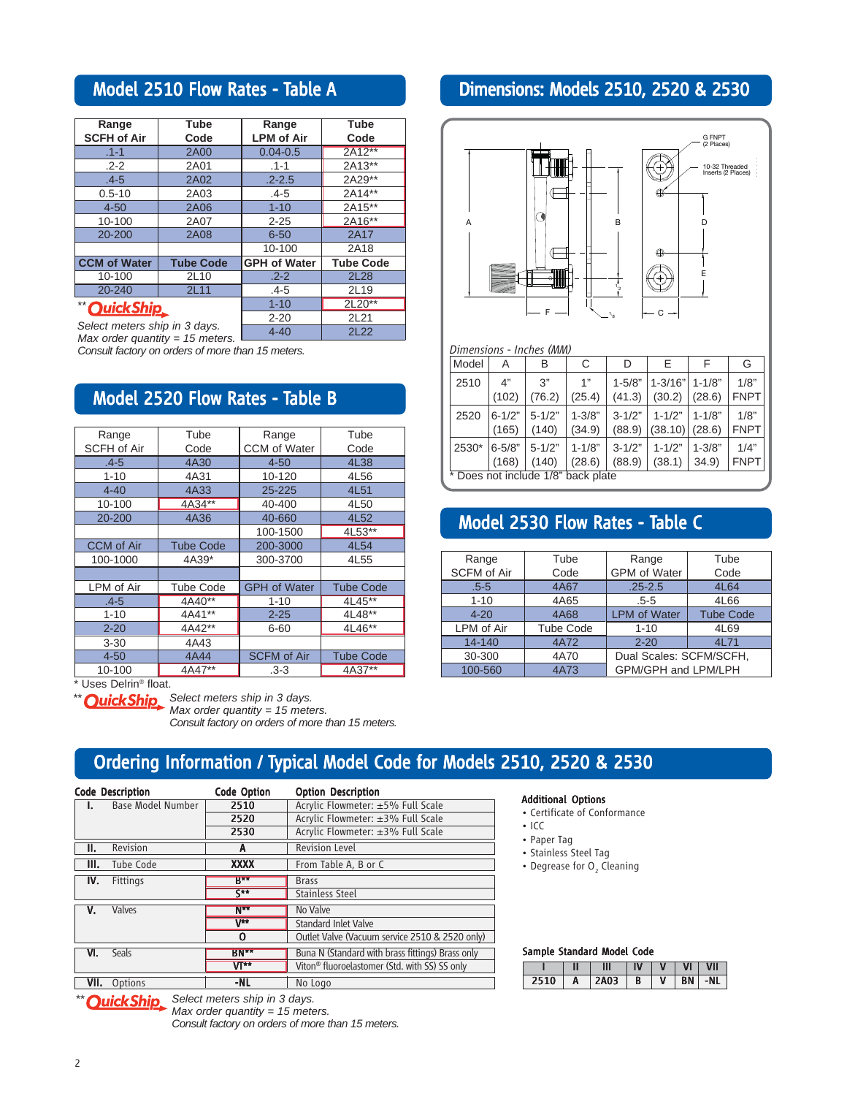## Model 2510 Flow Rates - Table A

| Range                         | <b>Tube</b>      | Range               | Tube             |
|-------------------------------|------------------|---------------------|------------------|
| <b>SCFH of Air</b>            | Code             | <b>LPM of Air</b>   | Code             |
| $.1 - 1$                      | <b>2A00</b>      | $0.04 - 0.5$        | 2A12**           |
| $.2 - 2$                      | 2A01             | $.1 - 1$            | 2A13**           |
| $.4 - 5$                      | 2A02             | $.2 - 2.5$          | 2A29**           |
| $0.5 - 10$                    | 2A03             | $.4 - 5$            | 2A14**           |
| $4 - 50$                      | 2A06             | $1 - 10$            | 2A15**           |
| 10-100                        | 2A07             | $2 - 25$            | 2A16**           |
| 20-200                        | <b>2A08</b>      | $6 - 50$            | 2A17             |
|                               |                  | 10-100              | 2A18             |
| <b>CCM of Water</b>           | <b>Tube Code</b> | <b>GPH of Water</b> | <b>Tube Code</b> |
| 10-100                        | 2L10             | $.2 - 2$            | 2L28             |
| 20-240                        | 2L11             | .4-5                | 2L19             |
| "OuickShip                    |                  | $1 - 10$            | 2L20**           |
|                               |                  | $2 - 20$            | 2L21             |
| Select meters ship in 3 days. |                  | $4 - 40$            | <b>2L22</b>      |

*Select meters ship in 3 days. Max order quantity = 15 meters.*

*Consult factory on orders of more than 15 meters.*

### Model 2520 Flow Rates - Table B

| Range              | Tube             | Range               | Tube             |  |
|--------------------|------------------|---------------------|------------------|--|
| <b>SCFH of Air</b> | Code             | CCM of Water        | Code             |  |
| $.4 - 5$           | 4A30             | $4 - 50$            | 4L38             |  |
| $1 - 10$           | 4A31             | 10-120              | 4L56             |  |
| $4 - 40$           | 4A33             | 25-225              | 4L51             |  |
| 10-100             | 4A34**           | 40-400              | 4L50             |  |
| 20-200             | 4A36             | 40-660              | 4L52             |  |
|                    |                  | 100-1500            | 4L53**           |  |
| <b>CCM</b> of Air  | <b>Tube Code</b> | 200-3000            | 4L54             |  |
| 100-1000           | 4A39*            | 300-3700            | 4L55             |  |
|                    |                  |                     |                  |  |
| LPM of Air         | <b>Tube Code</b> | <b>GPH of Water</b> | <b>Tube Code</b> |  |
| $.4 - 5$           | 4A40**           | $1 - 10$            | $4L45***$        |  |
| $1 - 10$           | 4A41**           | $2 - 25$            | 4L48**           |  |
| $2 - 20$           | 4A42**           | 6-60                | 4L46**           |  |
| $3 - 30$           | 4A43             |                     |                  |  |
| $4 - 50$           | 4A44             | <b>SCFM</b> of Air  | <b>Tube Code</b> |  |
| 10-100             | 4A47**           | $.3 - 3$            | 4A37**           |  |

\* Uses Delrin® float.

**\*** Ouick Ship Select meters ship in 3 days. *Max order quantity = 15 meters. Consult factory on orders of more than 15 meters.*

## Dimensions: Models 2510, 2520 & 2530



## Model 2530 Flow Rates - Table C

Does not include 1/8" back plate

| Range              | Tube             | Range                   | Tube             |  |
|--------------------|------------------|-------------------------|------------------|--|
| <b>SCFM of Air</b> | Code             | <b>GPM</b> of Water     | Code             |  |
| $.5 - 5$           | <b>4A67</b>      | $.25 - 2.5$             | 4L64             |  |
| $1 - 10$           | 4A65             | $.5 - 5$                | 4L66             |  |
| $4 - 20$           | 4A68             | <b>LPM of Water</b>     | <b>Tube Code</b> |  |
| LPM of Air         | <b>Tube Code</b> | $1 - 10$                | 4L69             |  |
| 14-140             | 4A72             | $2 - 20$                | 4L71             |  |
| 30-300<br>4A70     |                  | Dual Scales: SCFM/SCFH, |                  |  |
| 100-560            | 4A73             | GPM/GPH and LPM/LPH     |                  |  |

### Ordering Information / Typical Model Code for Models 2510, 2520 & 2530

|      | <b>Code Description</b>  | <b>Code Option</b> | <b>Option Description</b>                                 |
|------|--------------------------|--------------------|-----------------------------------------------------------|
|      | <b>Base Model Number</b> | 2510               | Acrylic Flowmeter: ±5% Full Scale                         |
|      |                          | 2520               | Acrylic Flowmeter: ±3% Full Scale                         |
|      |                          | 2530               | Acrylic Flowmeter: ±3% Full Scale                         |
| II.  | Revision                 | A                  | <b>Revision Level</b>                                     |
| III. | Tube Code                | <b>XXXX</b>        | From Table A, B or C                                      |
| IV.  | Fittings                 | $B***$             | <b>Brass</b>                                              |
|      |                          | $\zeta$ **         | <b>Stainless Steel</b>                                    |
| v.   | Valves                   | $N**$              | No Valve                                                  |
|      |                          | $V^{**}$           | <b>Standard Inlet Valve</b>                               |
|      |                          | Ω                  | Outlet Valve (Vacuum service 2510 & 2520 only)            |
| VI.  | Seals                    | <b>BN**</b>        | Buna N (Standard with brass fittings) Brass only          |
|      |                          | <b>VT**</b>        | Viton <sup>®</sup> fluoroelastomer (Std. with SS) SS only |
| VII. | Options                  | -NL                | No Logo                                                   |

Additional Options

- Certificate of Conformance
- ICC
- Paper Tag
- Stainless Steel Tag
- Degrease for  $O<sub>2</sub>$  Cleaning

### Sample Standard Model Code

|         |   | N |   | $\overline{\mathsf{u}}$ |
|---------|---|---|---|-------------------------|
| م الأول | A | B | ٧ |                         |

*<u>OuickShip.</u> Select meters ship in 3 days.* 

*Max order quantity = 15 meters. Consult factory on orders of more than 15 meters.*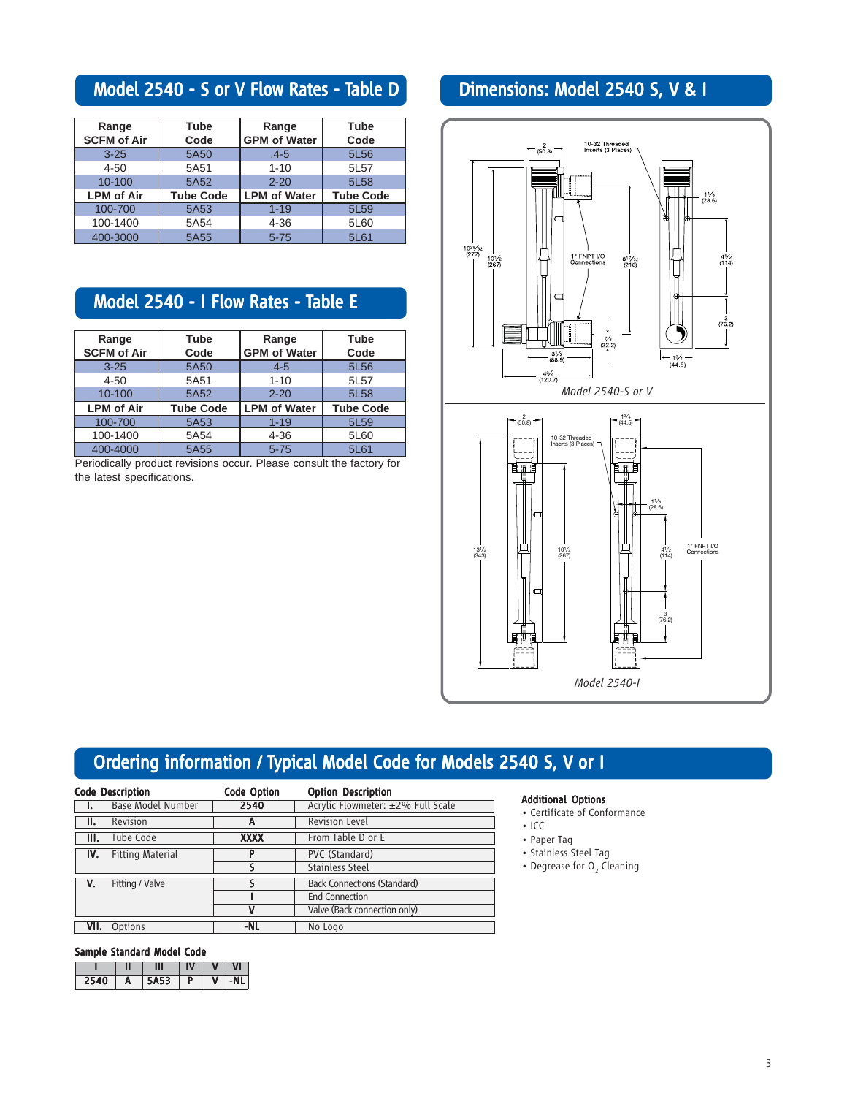## Model 2540 - S or V Flow Rates - Table D

| Range              | Tube             | Range               | Tube             |  |
|--------------------|------------------|---------------------|------------------|--|
| <b>SCFM of Air</b> | Code             | <b>GPM of Water</b> | Code             |  |
| $3 - 25$           | 5A50             | $.4 - 5$            | 5L56             |  |
| $4 - 50$           | 5A51             | $1 - 10$            | 5L57             |  |
| $10 - 100$         | 5A52             | $2 - 20$            | 5L58             |  |
| <b>LPM of Air</b>  | <b>Tube Code</b> | <b>LPM of Water</b> | <b>Tube Code</b> |  |
| 100-700            | 5A53             | $1 - 19$            | 5L59             |  |
| 100-1400           | 5A54             |                     | 5L60             |  |
| 400-3000           | 5A55             | $5 - 75$            | 5L61             |  |

## Model 2540 - I Flow Rates - Table E

| Range<br><b>SCFM of Air</b> | Tube<br>Code     | Range<br><b>GPM of Water</b> | Tube<br>Code     |  |
|-----------------------------|------------------|------------------------------|------------------|--|
| $3 - 25$                    | 5A50             | $.4 - 5$                     | 5L56             |  |
| $4 - 50$                    | 5A51             | $1 - 10$                     | 5L57             |  |
| $10 - 100$                  | 5A52             |                              | 5L58             |  |
| <b>LPM of Air</b>           | <b>Tube Code</b> | <b>LPM of Water</b>          | <b>Tube Code</b> |  |
| 100-700                     | 5A53             | $1 - 19$                     | 5L59             |  |
| 100-1400                    | 5A54             | $4 - 36$                     | 5L60             |  |
| 400-4000                    | 5A55             | $5 - 75$                     | 5L61             |  |

Periodically product revisions occur. Please consult the factory for the latest specifications.

## Dimensions: Model 2540 S, V & I



## Ordering information / Typical Model Code for Models 2540 S, V or I

| <b>Code Description</b> |                         | <b>Code Option</b> | <b>Option Description</b>          |
|-------------------------|-------------------------|--------------------|------------------------------------|
| $\blacksquare$          | Base Model Number       | 2540               | Acrylic Flowmeter: ±2% Full Scale  |
| ΙΙ.                     | Revision                | А                  | <b>Revision Level</b>              |
| III.                    | Tube Code               | <b>XXXX</b>        | From Table D or E                  |
| IV.                     | <b>Fitting Material</b> | P                  | PVC (Standard)                     |
|                         |                         |                    | <b>Stainless Steel</b>             |
| V.                      | Fitting / Valve         |                    | <b>Back Connections (Standard)</b> |
|                         |                         |                    | <b>End Connection</b>              |
|                         |                         | v                  | Valve (Back connection only)       |
| VII.                    | Options                 | -NL                | No Logo                            |

#### Sample Standard Model Code

|      |   | Ш    | V | VI    |
|------|---|------|---|-------|
| 2540 | A | 5A53 | ν | $-NL$ |

#### Additional Options

- Certificate of Conformance
- ICC
- Paper Tag
- Stainless Steel Tag
- Degrease for  $O<sub>2</sub>$  Cleaning